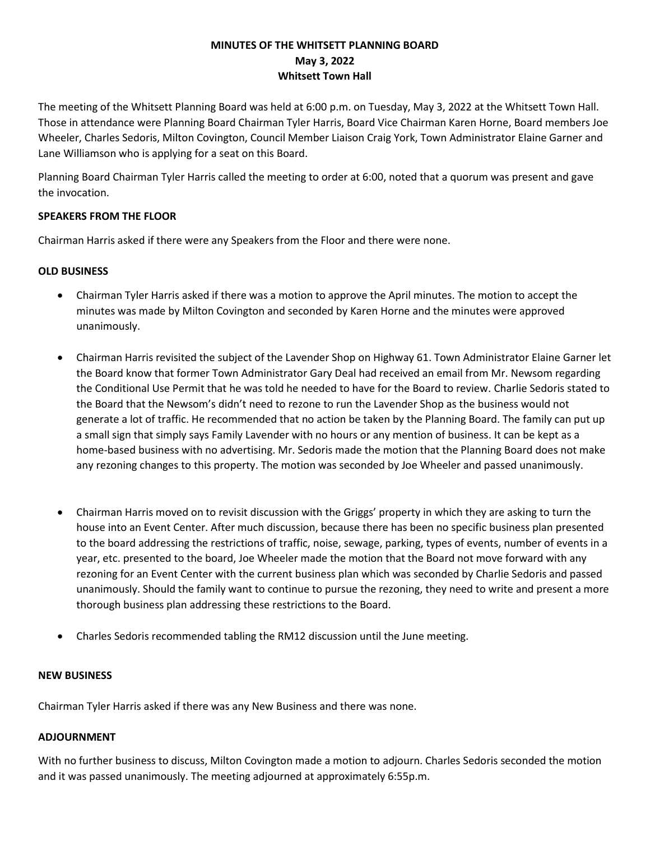## **MINUTES OF THE WHITSETT PLANNING BOARD May 3, 2022 Whitsett Town Hall**

The meeting of the Whitsett Planning Board was held at 6:00 p.m. on Tuesday, May 3, 2022 at the Whitsett Town Hall. Those in attendance were Planning Board Chairman Tyler Harris, Board Vice Chairman Karen Horne, Board members Joe Wheeler, Charles Sedoris, Milton Covington, Council Member Liaison Craig York, Town Administrator Elaine Garner and Lane Williamson who is applying for a seat on this Board.

Planning Board Chairman Tyler Harris called the meeting to order at 6:00, noted that a quorum was present and gave the invocation.

### **SPEAKERS FROM THE FLOOR**

Chairman Harris asked if there were any Speakers from the Floor and there were none.

### **OLD BUSINESS**

- Chairman Tyler Harris asked if there was a motion to approve the April minutes. The motion to accept the minutes was made by Milton Covington and seconded by Karen Horne and the minutes were approved unanimously.
- Chairman Harris revisited the subject of the Lavender Shop on Highway 61. Town Administrator Elaine Garner let the Board know that former Town Administrator Gary Deal had received an email from Mr. Newsom regarding the Conditional Use Permit that he was told he needed to have for the Board to review. Charlie Sedoris stated to the Board that the Newsom's didn't need to rezone to run the Lavender Shop as the business would not generate a lot of traffic. He recommended that no action be taken by the Planning Board. The family can put up a small sign that simply says Family Lavender with no hours or any mention of business. It can be kept as a home-based business with no advertising. Mr. Sedoris made the motion that the Planning Board does not make any rezoning changes to this property. The motion was seconded by Joe Wheeler and passed unanimously.
- Chairman Harris moved on to revisit discussion with the Griggs' property in which they are asking to turn the house into an Event Center. After much discussion, because there has been no specific business plan presented to the board addressing the restrictions of traffic, noise, sewage, parking, types of events, number of events in a year, etc. presented to the board, Joe Wheeler made the motion that the Board not move forward with any rezoning for an Event Center with the current business plan which was seconded by Charlie Sedoris and passed unanimously. Should the family want to continue to pursue the rezoning, they need to write and present a more thorough business plan addressing these restrictions to the Board.
- Charles Sedoris recommended tabling the RM12 discussion until the June meeting.

#### **NEW BUSINESS**

Chairman Tyler Harris asked if there was any New Business and there was none.

# **ADJOURNMENT**

With no further business to discuss, Milton Covington made a motion to adjourn. Charles Sedoris seconded the motion and it was passed unanimously. The meeting adjourned at approximately 6:55p.m.